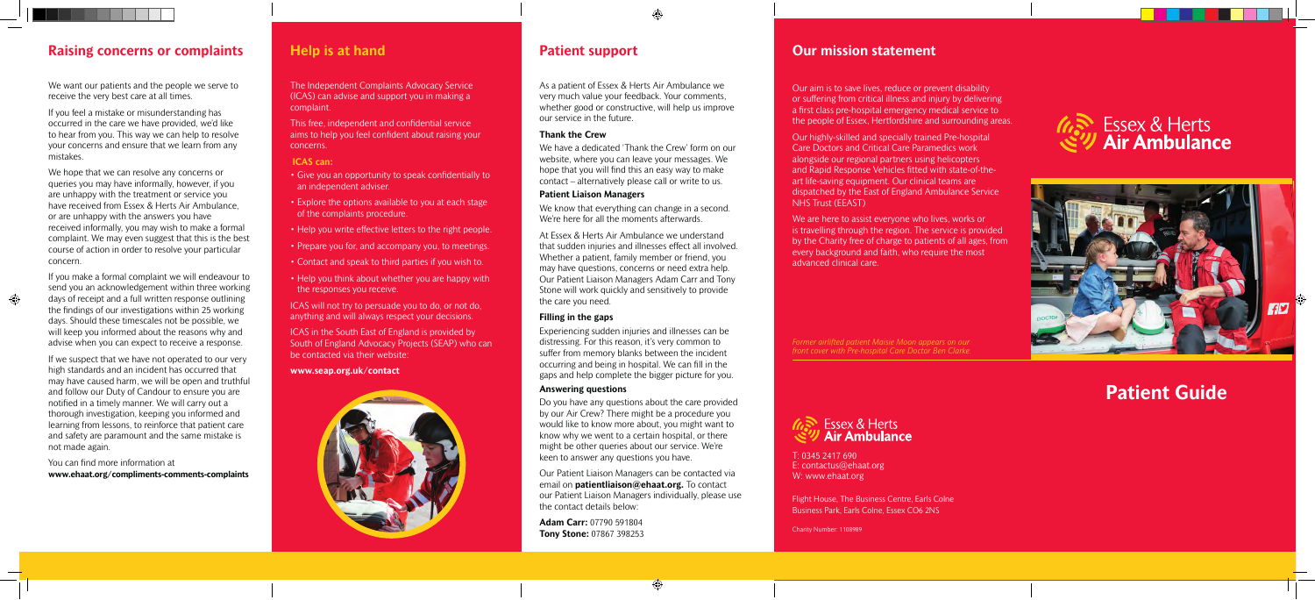Flight House, The Business Centre, Earls Colne Business Park, Earls Colne, Essex CO6 2NS

Charity Number: 1108989

# **Our mission statement**

# 、Essex & Herts<br>ツ **Air Ambulance**



Our aim is to save lives, reduce or prevent disability or suffering from critical illness and injury by delivering a first class pre-hospital emergency medical service to the people of Essex, Hertfordshire and surrounding areas.

Our highly-skilled and specially trained Pre-hospital Care Doctors and Critical Care Paramedics work alongside our regional partners using helicopters and Rapid Response Vehicles fitted with state-of-theart life-saving equipment. Our clinical teams are dispatched by the East of England Ambulance Service NHS Trust (EEAST)

We are here to assist everyone who lives, works or is travelling through the region. The service is provided by the Charity free of charge to patients of all ages, from every background and faith, who require the most advanced clinical care.

T: 0345 2417 690 E: contactus@ehaat.org W: www.ehaat.org

# **Patient Guide**

# *<i>(***as)** Essex & Herts<br>ミッ Air Ambulance

As a patient of Essex & Herts Air Ambulance we very much value your feedback. Your comments, whether good or constructive, will help us improve our service in the future.

# **Thank the Crew**

We have a dedicated 'Thank the Crew' form on our website, where you can leave your messages. We hope that you will find this an easy way to make contact – alternatively please call or write to us.

# **Patient Liaison Managers**

We know that everything can change in a second. We're here for all the moments afterwards.

At Essex & Herts Air Ambulance we understand that sudden injuries and illnesses effect all involved. Whether a patient, family member or friend, you may have questions, concerns or need extra help. Our Patient Liaison Managers Adam Carr and Tony Stone will work quickly and sensitively to provide the care you need.

# **Filling in the gaps**

Experiencing sudden injuries and illnesses can be distressing. For this reason, it's very common to suffer from memory blanks between the incident occurring and being in hospital. We can fill in the gaps and help complete the bigger picture for you.

We hope that we can resolve any concerns or queries you may have informally, however, if you are unhappy with the treatment or service you have received from Essex & Herts Air Ambulance, or are unhappy with the answers you have received informally, you may wish to make a formal complaint. We may even suggest that this is the best course of action in order to resolve your particular concern.

## **Answering questions**

Do you have any questions about the care provided by our Air Crew? There might be a procedure you would like to know more about, you might want to know why we went to a certain hospital, or there might be other queries about our service. We're keen to answer any questions you have.

Our Patient Liaison Managers can be contacted via email on **patientliaison@ehaat.org.** To contact our Patient Liaison Managers individually, please use the contact details below:

**Adam Carr:** 07790 591804 **Tony Stone:** 07867 398253

The Independent Complaints Advocacy Service (ICAS) can advise and support you in making a complaint.

This free, independent and confidential service aims to help you feel confident about raising your concerns.

# **ICAS can:**

- Give you an opportunity to speak confidentially to an independent adviser.
- Explore the options available to you at each stage of the complaints procedure.
- Help you write effective letters to the right people.
- Prepare you for, and accompany you, to meetings.
- Contact and speak to third parties if you wish to.
- Help you think about whether you are happy with the responses you receive.

ICAS will not try to persuade you to do, or not do, anything and will always respect your decisions.

ICAS in the South East of England is provided by South of England Advocacy Projects (SEAP) who can be contacted via their website:

## **www.seap.org.uk/contact**



# **Raising concerns or complaints Help is at hand Patient support**

We want our patients and the people we serve to receive the very best care at all times.

If you feel a mistake or misunderstanding has occurred in the care we have provided, we'd like to hear from you. This way we can help to resolve your concerns and ensure that we learn from any mistakes.

If you make a formal complaint we will endeavour to send you an acknowledgement within three working days of receipt and a full written response outlining the findings of our investigations within 25 working days. Should these timescales not be possible, we will keep you informed about the reasons why and advise when you can expect to receive a response.

If we suspect that we have not operated to our very high standards and an incident has occurred that may have caused harm, we will be open and truthful and follow our Duty of Candour to ensure you are notified in a timely manner. We will carry out a thorough investigation, keeping you informed and learning from lessons, to reinforce that patient care and safety are paramount and the same mistake is not made again.

You can find more information at **www.ehaat.org/compliments-comments-complaints**

*Former airlifted patient Maisie Moon appears on our front cover with Pre-hospital Care Doctor Ben Clarke.*